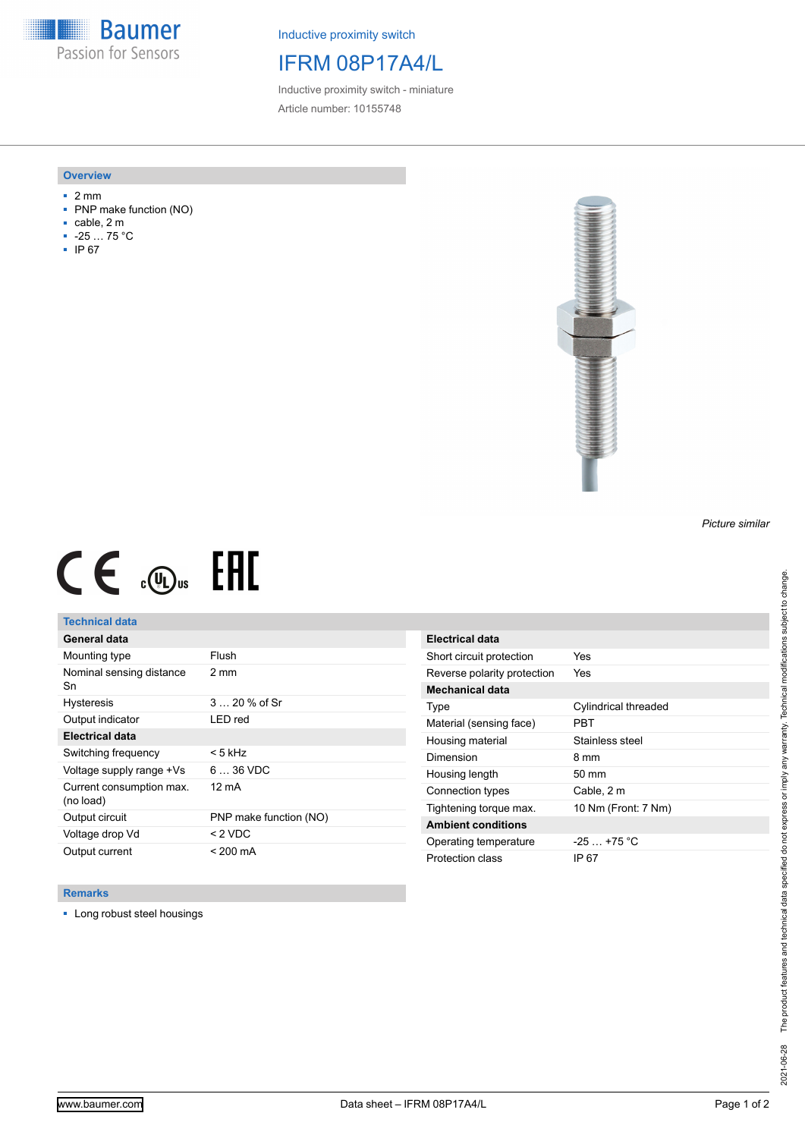**Baumer** Passion for Sensors

Inductive proximity switch

# IFRM 08P17A4/L

Inductive proximity switch - miniature Article number: 10155748

#### **Overview**

- 2 mm
- PNP make function (NO)
- cable, 2 m
- -25 … 75 °C
- IP 67



# $CE \mathcal{L}$  (Dus FRE

## **Technical data**

| General data                          |                        |
|---------------------------------------|------------------------|
| Mounting type                         | Flush                  |
| Nominal sensing distance<br>Sn        | 2 mm                   |
| <b>Hysteresis</b>                     | $320%$ of Sr           |
| Output indicator                      | LED red                |
| <b>Electrical data</b>                |                        |
| Switching frequency                   | < 5 kHz                |
| Voltage supply range +Vs              | $636$ VDC              |
| Current consumption max.<br>(no load) | 12 mA                  |
| Output circuit                        | PNP make function (NO) |
| Voltage drop Vd                       | $< 2$ VDC              |
| Output current                        | $< 200 \text{ mA}$     |

| Electrical data             |                      |
|-----------------------------|----------------------|
| Short circuit protection    | Yes                  |
| Reverse polarity protection | Yes                  |
| Mechanical data             |                      |
| Type                        | Cylindrical threaded |
| Material (sensing face)     | PRT                  |
| Housing material            | Stainless steel      |
| Dimension                   | 8 mm                 |
| Housing length              | $50 \text{ mm}$      |
| Connection types            | Cable, 2 m           |
| Tightening torque max.      | 10 Nm (Front: 7 Nm)  |
| <b>Ambient conditions</b>   |                      |
| Operating temperature       | $-25$ +75 °C         |
| Protection class            | IP 67                |

### **Remarks**

■ Long robust steel housings

The product features and technical data specified do not express or imply any warranty. Technical modifications subject to change. 2021-06-28 The product features and technical data specified do not express or imply any warranty. Technical modifications subject to change. 2021-06-28

*Picture similar*